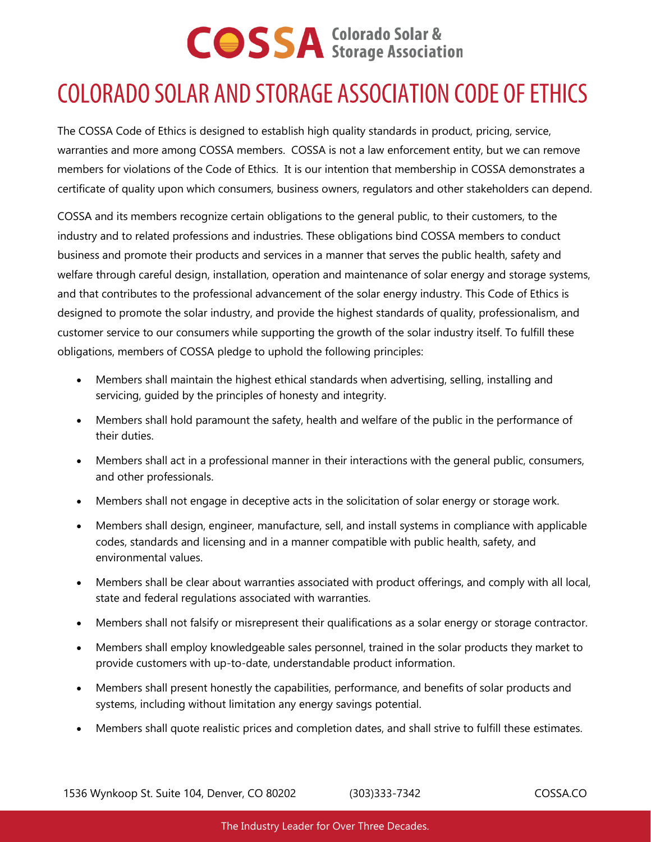### **COLORADO SOLAR AND STORAGE ASSOCIATION CODE OF ETHICS**

The COSSA Code of Ethics is designed to establish high quality standards in product, pricing, service, warranties and more among COSSA members. COSSA is not a law enforcement entity, but we can remove members for violations of the Code of Ethics. It is our intention that membership in COSSA demonstrates a certificate of quality upon which consumers, business owners, regulators and other stakeholders can depend.

COSSA and its members recognize certain obligations to the general public, to their customers, to the industry and to related professions and industries. These obligations bind COSSA members to conduct business and promote their products and services in a manner that serves the public health, safety and welfare through careful design, installation, operation and maintenance of solar energy and storage systems, and that contributes to the professional advancement of the solar energy industry. This Code of Ethics is designed to promote the solar industry, and provide the highest standards of quality, professionalism, and customer service to our consumers while supporting the growth of the solar industry itself. To fulfill these obligations, members of COSSA pledge to uphold the following principles:

- Members shall maintain the highest ethical standards when advertising, selling, installing and servicing, guided by the principles of honesty and integrity.
- Members shall hold paramount the safety, health and welfare of the public in the performance of their duties.
- Members shall act in a professional manner in their interactions with the general public, consumers, and other professionals.
- Members shall not engage in deceptive acts in the solicitation of solar energy or storage work.
- Members shall design, engineer, manufacture, sell, and install systems in compliance with applicable codes, standards and licensing and in a manner compatible with public health, safety, and environmental values.
- Members shall be clear about warranties associated with product offerings, and comply with all local, state and federal regulations associated with warranties.
- Members shall not falsify or misrepresent their qualifications as a solar energy or storage contractor.
- Members shall employ knowledgeable sales personnel, trained in the solar products they market to provide customers with up-to-date, understandable product information.
- Members shall present honestly the capabilities, performance, and benefits of solar products and systems, including without limitation any energy savings potential.
- Members shall quote realistic prices and completion dates, and shall strive to fulfill these estimates.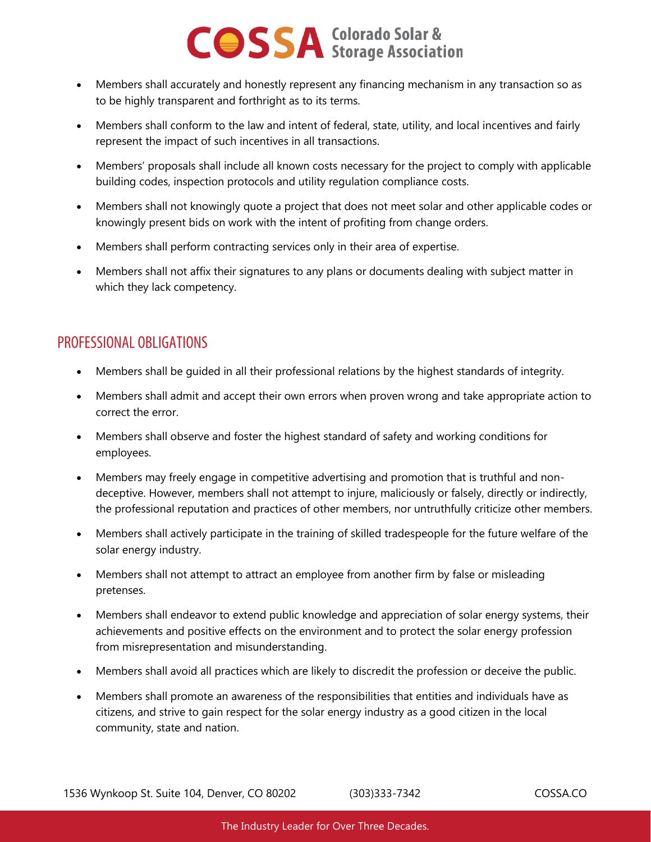- Members shall accurately and honestly represent any financing mechanism in any transaction so as to be highly transparent and forthright as to its terms.
- Members shall conform to the law and intent of federal, state, utility, and local incentives and fairly represent the impact of such incentives in all transactions.
- Members' proposals shall include all known costs necessary for the project to comply with applicable building codes, inspection protocols and utility regulation compliance costs.
- Members shall not knowingly quote a project that does not meet solar and other applicable codes or knowingly present bids on work with the intent of profiting from change orders.
- Members shall perform contracting services only in their area of expertise.
- Members shall not affix their signatures to any plans or documents dealing with subject matter in which they lack competency.

#### PROFESSIONAL OBLIGATIONS

- Members shall be guided in all their professional relations by the highest standards of integrity.
- Members shall admit and accept their own errors when proven wrong and take appropriate action to correct the error.
- Members shall observe and foster the highest standard of safety and working conditions for employees.
- Members may freely engage in competitive advertising and promotion that is truthful and nondeceptive. However, members shall not attempt to injure, maliciously or falsely, directly or indirectly, the professional reputation and practices of other members, nor untruthfully criticize other members.
- Members shall actively participate in the training of skilled tradespeople for the future welfare of the solar energy industry.
- Members shall not attempt to attract an employee from another firm by false or misleading pretenses.
- Members shall endeavor to extend public knowledge and appreciation of solar energy systems, their achievements and positive effects on the environment and to protect the solar energy profession from misrepresentation and misunderstanding.
- Members shall avoid all practices which are likely to discredit the profession or deceive the public.
- Members shall promote an awareness of the responsibilities that entities and individuals have as citizens, and strive to gain respect for the solar energy industry as a good citizen in the local community, state and nation.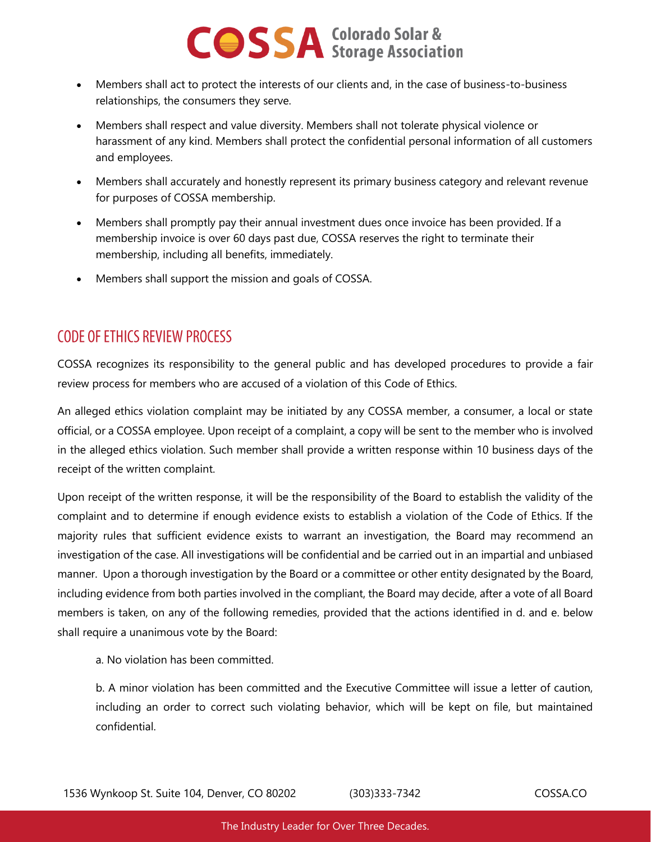- Members shall act to protect the interests of our clients and, in the case of business-to-business relationships, the consumers they serve.
- Members shall respect and value diversity. Members shall not tolerate physical violence or harassment of any kind. Members shall protect the confidential personal information of all customers and employees.
- Members shall accurately and honestly represent its primary business category and relevant revenue for purposes of COSSA membership.
- Members shall promptly pay their annual investment dues once invoice has been provided. If a membership invoice is over 60 days past due, COSSA reserves the right to terminate their membership, including all benefits, immediately.
- Members shall support the mission and goals of COSSA.

#### **CODE OF ETHICS REVIEW PROCESS**

COSSA recognizes its responsibility to the general public and has developed procedures to provide a fair review process for members who are accused of a violation of this Code of Ethics.

An alleged ethics violation complaint may be initiated by any COSSA member, a consumer, a local or state official, or a COSSA employee. Upon receipt of a complaint, a copy will be sent to the member who is involved in the alleged ethics violation. Such member shall provide a written response within 10 business days of the receipt of the written complaint.

Upon receipt of the written response, it will be the responsibility of the Board to establish the validity of the complaint and to determine if enough evidence exists to establish a violation of the Code of Ethics. If the majority rules that sufficient evidence exists to warrant an investigation, the Board may recommend an investigation of the case. All investigations will be confidential and be carried out in an impartial and unbiased manner. Upon a thorough investigation by the Board or a committee or other entity designated by the Board, including evidence from both parties involved in the compliant, the Board may decide, after a vote of all Board members is taken, on any of the following remedies, provided that the actions identified in d. and e. below shall require a unanimous vote by the Board:

a. No violation has been committed.

b. A minor violation has been committed and the Executive Committee will issue a letter of caution, including an order to correct such violating behavior, which will be kept on file, but maintained confidential.